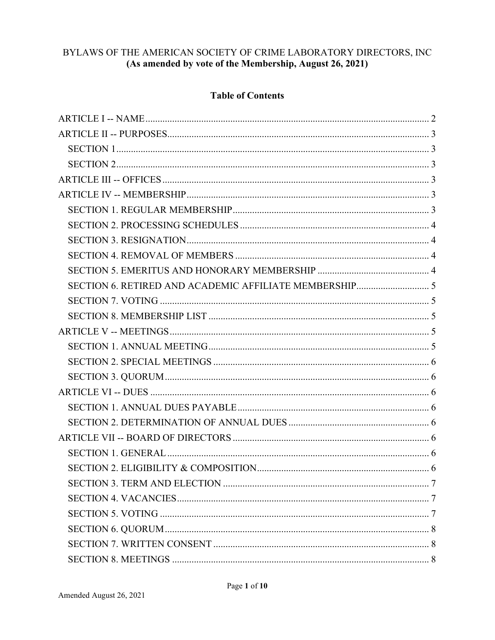# BYLAWS OF THE AMERICAN SOCIETY OF CRIME LABORATORY DIRECTORS, INC (As amended by vote of the Membership, August 26, 2021)

# **Table of Contents**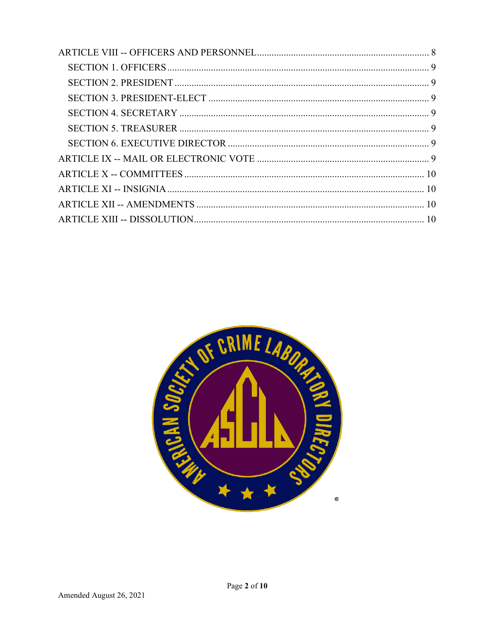<span id="page-1-0"></span>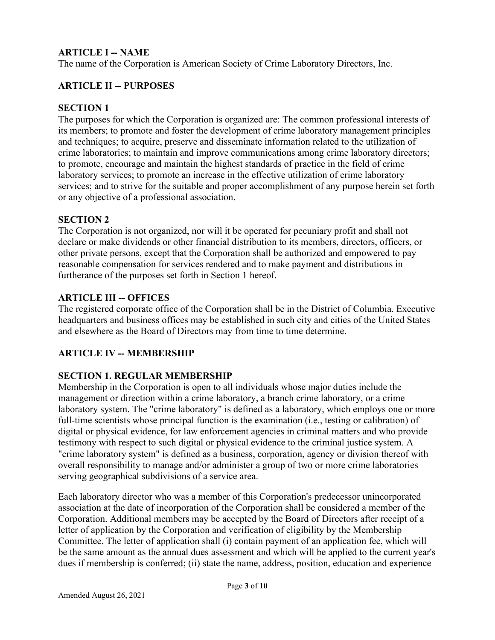# **ARTICLE I -- NAME**

The name of the Corporation is American Society of Crime Laboratory Directors, Inc.

## <span id="page-2-0"></span>**ARTICLE II -- PURPOSES**

#### <span id="page-2-1"></span>**SECTION 1**

The purposes for which the Corporation is organized are: The common professional interests of its members; to promote and foster the development of crime laboratory management principles and techniques; to acquire, preserve and disseminate information related to the utilization of crime laboratories; to maintain and improve communications among crime laboratory directors; to promote, encourage and maintain the highest standards of practice in the field of crime laboratory services; to promote an increase in the effective utilization of crime laboratory services; and to strive for the suitable and proper accomplishment of any purpose herein set forth or any objective of a professional association.

#### <span id="page-2-2"></span>**SECTION 2**

The Corporation is not organized, nor will it be operated for pecuniary profit and shall not declare or make dividends or other financial distribution to its members, directors, officers, or other private persons, except that the Corporation shall be authorized and empowered to pay reasonable compensation for services rendered and to make payment and distributions in furtherance of the purposes set forth in Section 1 hereof.

#### <span id="page-2-3"></span>**ARTICLE III -- OFFICES**

The registered corporate office of the Corporation shall be in the District of Columbia. Executive headquarters and business offices may be established in such city and cities of the United States and elsewhere as the Board of Directors may from time to time determine.

### <span id="page-2-4"></span>**ARTICLE IV -- MEMBERSHIP**

### <span id="page-2-5"></span>**SECTION 1. REGULAR MEMBERSHIP**

Membership in the Corporation is open to all individuals whose major duties include the management or direction within a crime laboratory, a branch crime laboratory, or a crime laboratory system. The "crime laboratory" is defined as a laboratory, which employs one or more full-time scientists whose principal function is the examination (i.e., testing or calibration) of digital or physical evidence, for law enforcement agencies in criminal matters and who provide testimony with respect to such digital or physical evidence to the criminal justice system. A "crime laboratory system" is defined as a business, corporation, agency or division thereof with overall responsibility to manage and/or administer a group of two or more crime laboratories serving geographical subdivisions of a service area.

Each laboratory director who was a member of this Corporation's predecessor unincorporated association at the date of incorporation of the Corporation shall be considered a member of the Corporation. Additional members may be accepted by the Board of Directors after receipt of a letter of application by the Corporation and verification of eligibility by the Membership Committee. The letter of application shall (i) contain payment of an application fee, which will be the same amount as the annual dues assessment and which will be applied to the current year's dues if membership is conferred; (ii) state the name, address, position, education and experience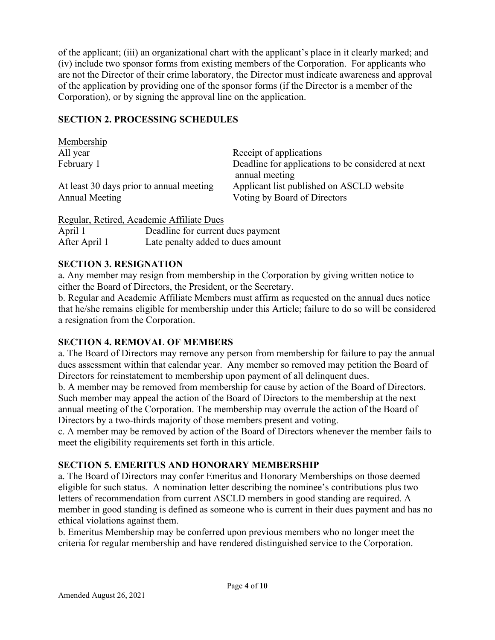of the applicant; (iii) an organizational chart with the applicant's place in it clearly marked; and (iv) include two sponsor forms from existing members of the Corporation. For applicants who are not the Director of their crime laboratory, the Director must indicate awareness and approval of the application by providing one of the sponsor forms (if the Director is a member of the Corporation), or by signing the approval line on the application.

### <span id="page-3-0"></span>**SECTION 2. PROCESSING SCHEDULES**

| Membership                               |                                                    |
|------------------------------------------|----------------------------------------------------|
| All year                                 | Receipt of applications                            |
| February 1                               | Deadline for applications to be considered at next |
|                                          | annual meeting                                     |
| At least 30 days prior to annual meeting | Applicant list published on ASCLD website          |
| Annual Meeting                           | Voting by Board of Directors                       |
|                                          |                                                    |

|               | Regular, Retired, Academic Affiliate Dues |
|---------------|-------------------------------------------|
| April 1       | Deadline for current dues payment         |
| After April 1 | Late penalty added to dues amount         |

# <span id="page-3-1"></span>**SECTION 3. RESIGNATION**

a. Any member may resign from membership in the Corporation by giving written notice to either the Board of Directors, the President, or the Secretary.

b. Regular and Academic Affiliate Members must affirm as requested on the annual dues notice that he/she remains eligible for membership under this Article; failure to do so will be considered a resignation from the Corporation.

### <span id="page-3-2"></span>**SECTION 4. REMOVAL OF MEMBERS**

a. The Board of Directors may remove any person from membership for failure to pay the annual dues assessment within that calendar year. Any member so removed may petition the Board of Directors for reinstatement to membership upon payment of all delinquent dues.

b. A member may be removed from membership for cause by action of the Board of Directors. Such member may appeal the action of the Board of Directors to the membership at the next annual meeting of the Corporation. The membership may overrule the action of the Board of Directors by a two-thirds majority of those members present and voting.

c. A member may be removed by action of the Board of Directors whenever the member fails to meet the eligibility requirements set forth in this article.

# <span id="page-3-3"></span>**SECTION 5. EMERITUS AND HONORARY MEMBERSHIP**

a. The Board of Directors may confer Emeritus and Honorary Memberships on those deemed eligible for such status. A nomination letter describing the nominee's contributions plus two letters of recommendation from current ASCLD members in good standing are required. A member in good standing is defined as someone who is current in their dues payment and has no ethical violations against them.

b. Emeritus Membership may be conferred upon previous members who no longer meet the criteria for regular membership and have rendered distinguished service to the Corporation.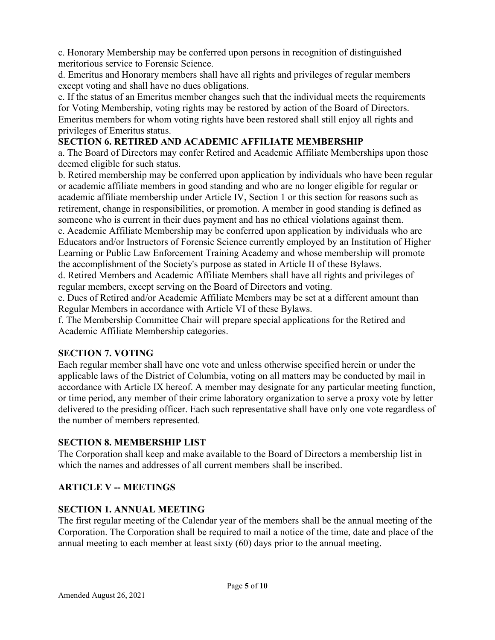c. Honorary Membership may be conferred upon persons in recognition of distinguished meritorious service to Forensic Science.

d. Emeritus and Honorary members shall have all rights and privileges of regular members except voting and shall have no dues obligations.

e. If the status of an Emeritus member changes such that the individual meets the requirements for Voting Membership, voting rights may be restored by action of the Board of Directors. Emeritus members for whom voting rights have been restored shall still enjoy all rights and privileges of Emeritus status.

# <span id="page-4-0"></span>**SECTION 6. RETIRED AND ACADEMIC AFFILIATE MEMBERSHIP**

a. The Board of Directors may confer Retired and Academic Affiliate Memberships upon those deemed eligible for such status.

b. Retired membership may be conferred upon application by individuals who have been regular or academic affiliate members in good standing and who are no longer eligible for regular or academic affiliate membership under Article IV, Section 1 or this section for reasons such as retirement, change in responsibilities, or promotion. A member in good standing is defined as someone who is current in their dues payment and has no ethical violations against them.

c. Academic Affiliate Membership may be conferred upon application by individuals who are Educators and/or Instructors of Forensic Science currently employed by an Institution of Higher Learning or Public Law Enforcement Training Academy and whose membership will promote the accomplishment of the Society's purpose as stated in Article II of these Bylaws.

d. Retired Members and Academic Affiliate Members shall have all rights and privileges of regular members, except serving on the Board of Directors and voting.

e. Dues of Retired and/or Academic Affiliate Members may be set at a different amount than Regular Members in accordance with Article VI of these Bylaws.

f. The Membership Committee Chair will prepare special applications for the Retired and Academic Affiliate Membership categories.

# <span id="page-4-1"></span>**SECTION 7. VOTING**

Each regular member shall have one vote and unless otherwise specified herein or under the applicable laws of the District of Columbia, voting on all matters may be conducted by mail in accordance with Article IX hereof. A member may designate for any particular meeting function, or time period, any member of their crime laboratory organization to serve a proxy vote by letter delivered to the presiding officer. Each such representative shall have only one vote regardless of the number of members represented.

### <span id="page-4-2"></span>**SECTION 8. MEMBERSHIP LIST**

The Corporation shall keep and make available to the Board of Directors a membership list in which the names and addresses of all current members shall be inscribed.

# <span id="page-4-3"></span>**ARTICLE V -- MEETINGS**

# <span id="page-4-4"></span>**SECTION 1. ANNUAL MEETING**

The first regular meeting of the Calendar year of the members shall be the annual meeting of the Corporation. The Corporation shall be required to mail a notice of the time, date and place of the annual meeting to each member at least sixty (60) days prior to the annual meeting.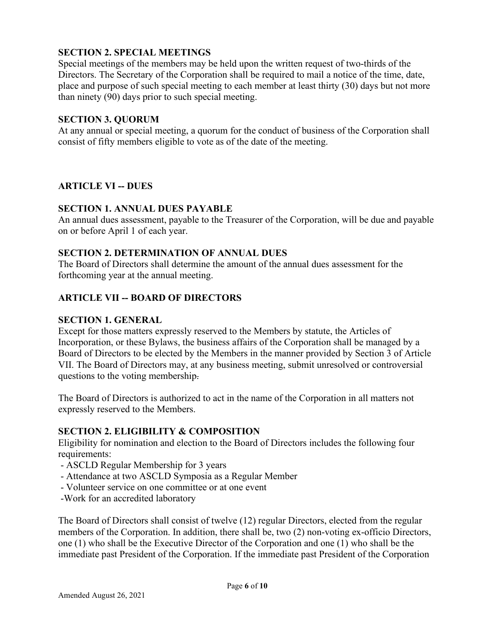## <span id="page-5-0"></span>**SECTION 2. SPECIAL MEETINGS**

Special meetings of the members may be held upon the written request of two-thirds of the Directors. The Secretary of the Corporation shall be required to mail a notice of the time, date, place and purpose of such special meeting to each member at least thirty (30) days but not more than ninety (90) days prior to such special meeting.

## <span id="page-5-1"></span>**SECTION 3. QUORUM**

At any annual or special meeting, a quorum for the conduct of business of the Corporation shall consist of fifty members eligible to vote as of the date of the meeting.

# <span id="page-5-2"></span>**ARTICLE VI -- DUES**

# <span id="page-5-3"></span>**SECTION 1. ANNUAL DUES PAYABLE**

An annual dues assessment, payable to the Treasurer of the Corporation, will be due and payable on or before April 1 of each year.

# <span id="page-5-4"></span>**SECTION 2. DETERMINATION OF ANNUAL DUES**

The Board of Directors shall determine the amount of the annual dues assessment for the forthcoming year at the annual meeting.

# <span id="page-5-5"></span>**ARTICLE VII -- BOARD OF DIRECTORS**

# <span id="page-5-6"></span>**SECTION 1. GENERAL**

Except for those matters expressly reserved to the Members by statute, the Articles of Incorporation, or these Bylaws, the business affairs of the Corporation shall be managed by a Board of Directors to be elected by the Members in the manner provided by Section 3 of Article VII. The Board of Directors may, at any business meeting, submit unresolved or controversial questions to the voting membership.

The Board of Directors is authorized to act in the name of the Corporation in all matters not expressly reserved to the Members.

### <span id="page-5-7"></span>**SECTION 2. ELIGIBILITY & COMPOSITION**

Eligibility for nomination and election to the Board of Directors includes the following four requirements:

- ASCLD Regular Membership for 3 years
- Attendance at two ASCLD Symposia as a Regular Member
- Volunteer service on one committee or at one event
- -Work for an accredited laboratory

The Board of Directors shall consist of twelve (12) regular Directors, elected from the regular members of the Corporation. In addition, there shall be, two (2) non-voting ex-officio Directors, one (1) who shall be the Executive Director of the Corporation and one (1) who shall be the immediate past President of the Corporation. If the immediate past President of the Corporation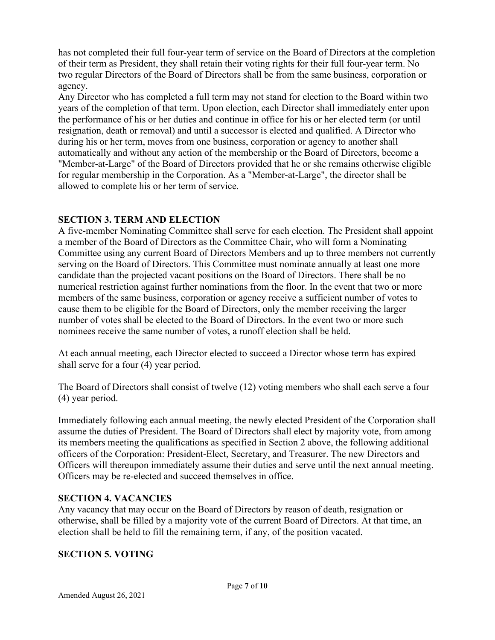has not completed their full four-year term of service on the Board of Directors at the completion of their term as President, they shall retain their voting rights for their full four-year term. No two regular Directors of the Board of Directors shall be from the same business, corporation or agency.

Any Director who has completed a full term may not stand for election to the Board within two years of the completion of that term. Upon election, each Director shall immediately enter upon the performance of his or her duties and continue in office for his or her elected term (or until resignation, death or removal) and until a successor is elected and qualified. A Director who during his or her term, moves from one business, corporation or agency to another shall automatically and without any action of the membership or the Board of Directors, become a "Member-at-Large" of the Board of Directors provided that he or she remains otherwise eligible for regular membership in the Corporation. As a "Member-at-Large", the director shall be allowed to complete his or her term of service.

# <span id="page-6-0"></span>**SECTION 3. TERM AND ELECTION**

A five-member Nominating Committee shall serve for each election. The President shall appoint a member of the Board of Directors as the Committee Chair, who will form a Nominating Committee using any current Board of Directors Members and up to three members not currently serving on the Board of Directors. This Committee must nominate annually at least one more candidate than the projected vacant positions on the Board of Directors. There shall be no numerical restriction against further nominations from the floor. In the event that two or more members of the same business, corporation or agency receive a sufficient number of votes to cause them to be eligible for the Board of Directors, only the member receiving the larger number of votes shall be elected to the Board of Directors. In the event two or more such nominees receive the same number of votes, a runoff election shall be held.

At each annual meeting, each Director elected to succeed a Director whose term has expired shall serve for a four (4) year period.

The Board of Directors shall consist of twelve (12) voting members who shall each serve a four (4) year period.

Immediately following each annual meeting, the newly elected President of the Corporation shall assume the duties of President. The Board of Directors shall elect by majority vote, from among its members meeting the qualifications as specified in Section 2 above, the following additional officers of the Corporation: President-Elect, Secretary, and Treasurer. The new Directors and Officers will thereupon immediately assume their duties and serve until the next annual meeting. Officers may be re-elected and succeed themselves in office.

# <span id="page-6-1"></span>**SECTION 4. VACANCIES**

Any vacancy that may occur on the Board of Directors by reason of death, resignation or otherwise, shall be filled by a majority vote of the current Board of Directors. At that time, an election shall be held to fill the remaining term, if any, of the position vacated.

# <span id="page-6-2"></span>**SECTION 5. VOTING**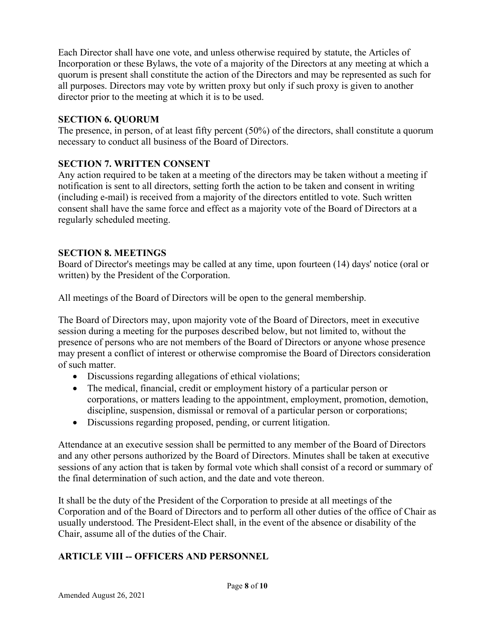Each Director shall have one vote, and unless otherwise required by statute, the Articles of Incorporation or these Bylaws, the vote of a majority of the Directors at any meeting at which a quorum is present shall constitute the action of the Directors and may be represented as such for all purposes. Directors may vote by written proxy but only if such proxy is given to another director prior to the meeting at which it is to be used.

## <span id="page-7-0"></span>**SECTION 6. QUORUM**

The presence, in person, of at least fifty percent (50%) of the directors, shall constitute a quorum necessary to conduct all business of the Board of Directors.

# <span id="page-7-1"></span>**SECTION 7. WRITTEN CONSENT**

Any action required to be taken at a meeting of the directors may be taken without a meeting if notification is sent to all directors, setting forth the action to be taken and consent in writing (including e-mail) is received from a majority of the directors entitled to vote. Such written consent shall have the same force and effect as a majority vote of the Board of Directors at a regularly scheduled meeting.

# <span id="page-7-2"></span>**SECTION 8. MEETINGS**

Board of Director's meetings may be called at any time, upon fourteen (14) days' notice (oral or written) by the President of the Corporation.

All meetings of the Board of Directors will be open to the general membership.

The Board of Directors may, upon majority vote of the Board of Directors, meet in executive session during a meeting for the purposes described below, but not limited to, without the presence of persons who are not members of the Board of Directors or anyone whose presence may present a conflict of interest or otherwise compromise the Board of Directors consideration of such matter.

- Discussions regarding allegations of ethical violations;
- The medical, financial, credit or employment history of a particular person or corporations, or matters leading to the appointment, employment, promotion, demotion, discipline, suspension, dismissal or removal of a particular person or corporations;
- Discussions regarding proposed, pending, or current litigation.

Attendance at an executive session shall be permitted to any member of the Board of Directors and any other persons authorized by the Board of Directors. Minutes shall be taken at executive sessions of any action that is taken by formal vote which shall consist of a record or summary of the final determination of such action, and the date and vote thereon.

It shall be the duty of the President of the Corporation to preside at all meetings of the Corporation and of the Board of Directors and to perform all other duties of the office of Chair as usually understood. The President-Elect shall, in the event of the absence or disability of the Chair, assume all of the duties of the Chair.

# <span id="page-7-3"></span>**ARTICLE VIII -- OFFICERS AND PERSONNEL**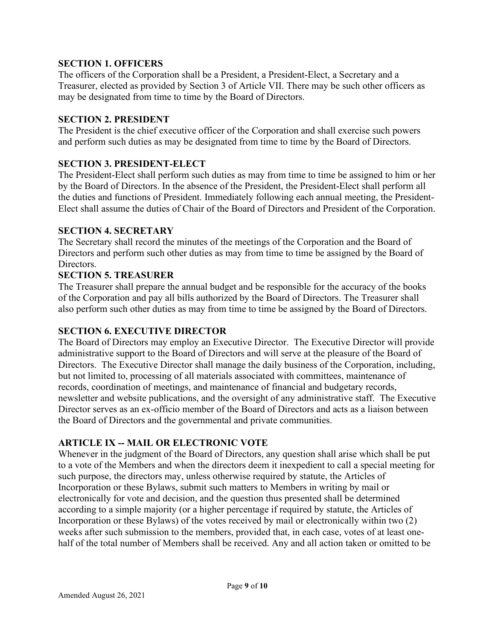### <span id="page-8-0"></span>**SECTION 1. OFFICERS**

The officers of the Corporation shall be a President, a President-Elect, a Secretary and a Treasurer, elected as provided by Section 3 of Article VII. There may be such other officers as may be designated from time to time by the Board of Directors.

#### <span id="page-8-1"></span>**SECTION 2. PRESIDENT**

The President is the chief executive officer of the Corporation and shall exercise such powers and perform such duties as may be designated from time to time by the Board of Directors.

#### <span id="page-8-2"></span>**SECTION 3. PRESIDENT-ELECT**

The President-Elect shall perform such duties as may from time to time be assigned to him or her by the Board of Directors. In the absence of the President, the President-Elect shall perform all the duties and functions of President. Immediately following each annual meeting, the President-Elect shall assume the duties of Chair of the Board of Directors and President of the Corporation.

#### <span id="page-8-3"></span>**SECTION 4. SECRETARY**

The Secretary shall record the minutes of the meetings of the Corporation and the Board of Directors and perform such other duties as may from time to time be assigned by the Board of Directors.

#### <span id="page-8-4"></span>**SECTION 5. TREASURER**

The Treasurer shall prepare the annual budget and be responsible for the accuracy of the books of the Corporation and pay all bills authorized by the Board of Directors. The Treasurer shall also perform such other duties as may from time to time be assigned by the Board of Directors.

### <span id="page-8-5"></span>**SECTION 6. EXECUTIVE DIRECTOR**

The Board of Directors may employ an Executive Director. The Executive Director will provide administrative support to the Board of Directors and will serve at the pleasure of the Board of Directors. The Executive Director shall manage the daily business of the Corporation, including, but not limited to, processing of all materials associated with committees, maintenance of records, coordination of meetings, and maintenance of financial and budgetary records, newsletter and website publications, and the oversight of any administrative staff. The Executive Director serves as an ex-officio member of the Board of Directors and acts as a liaison between the Board of Directors and the governmental and private communities.

### <span id="page-8-6"></span>**ARTICLE IX -- MAIL OR ELECTRONIC VOTE**

Whenever in the judgment of the Board of Directors, any question shall arise which shall be put to a vote of the Members and when the directors deem it inexpedient to call a special meeting for such purpose, the directors may, unless otherwise required by statute, the Articles of Incorporation or these Bylaws, submit such matters to Members in writing by mail or electronically for vote and decision, and the question thus presented shall be determined according to a simple majority (or a higher percentage if required by statute, the Articles of Incorporation or these Bylaws) of the votes received by mail or electronically within two (2) weeks after such submission to the members, provided that, in each case, votes of at least onehalf of the total number of Members shall be received. Any and all action taken or omitted to be